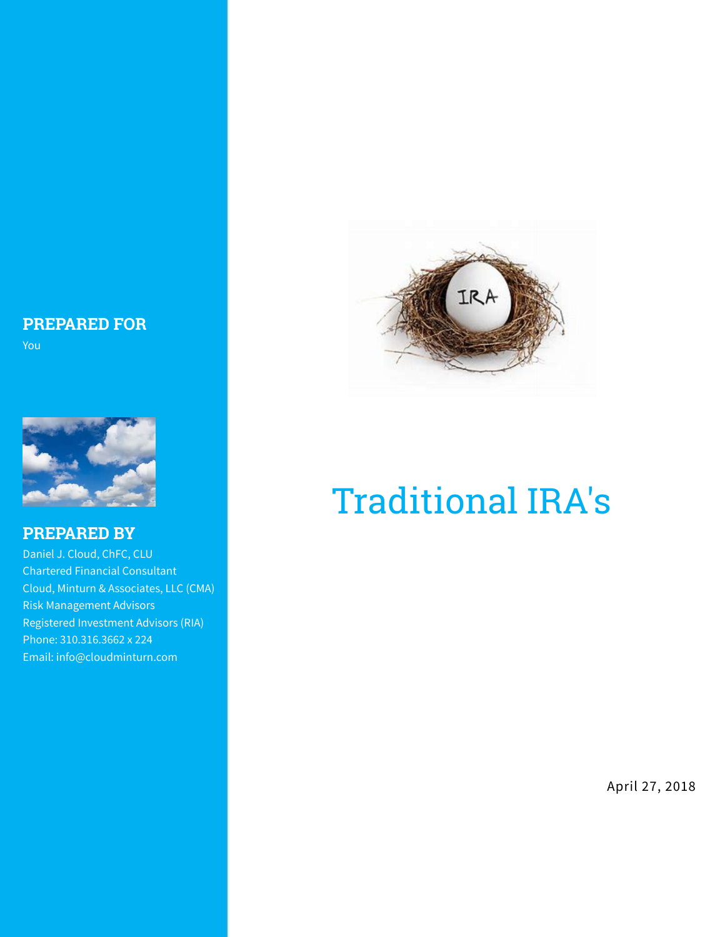#### **PREPARED FOR**

You



#### **PREPARED BY**

Daniel J. Cloud, ChFC, CLU Chartered Financial Consultant Cloud, Minturn & Associates, LLC (CMA) Risk Management Advisors Registered Investment Advisors (RIA) Phone: 310.316.3662 x 224 Email: info@cloudminturn.com



# Traditional IRA's

April 27, 2018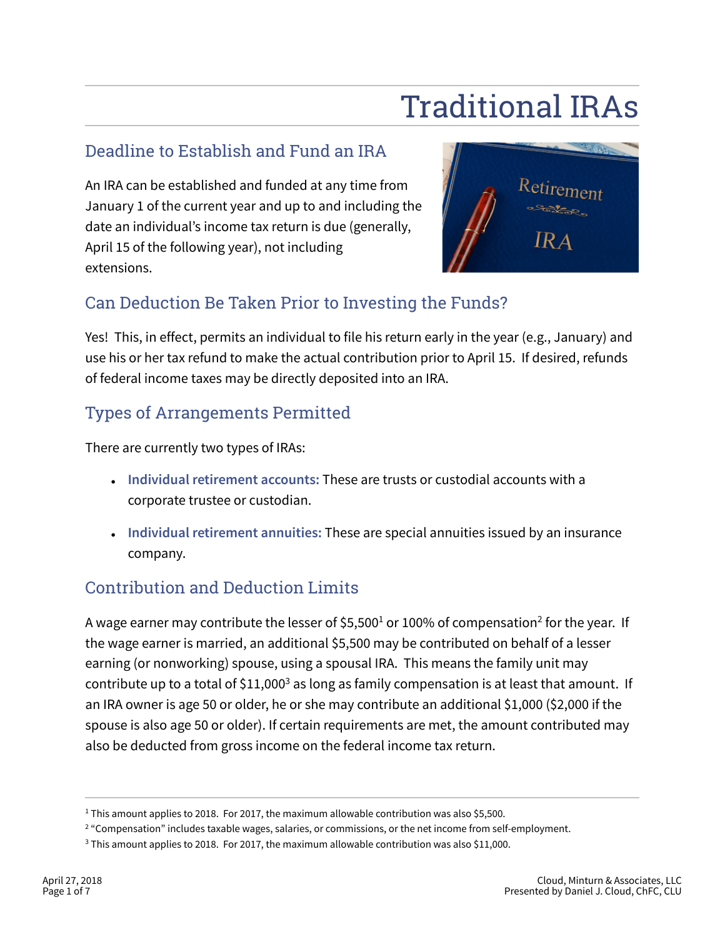#### Deadline to Establish and Fund an IRA

An IRA can be established and funded at any time from January 1 of the current year and up to and including the date an individual's income tax return is due (generally, April 15 of the following year), not including extensions.



#### Can Deduction Be Taken Prior to Investing the Funds?

Yes! This, in effect, permits an individual to file his return early in the year (e.g., January) and use his or her tax refund to make the actual contribution prior to April 15. If desired, refunds of federal income taxes may be directly deposited into an IRA.

#### Types of Arrangements Permitted

There are currently two types of IRAs:

- **Individual retirement accounts:** These are trusts or custodial accounts with a corporate trustee or custodian.
- **Individual retirement annuities:** These are special annuities issued by an insurance company.

#### Contribution and Deduction Limits

A wage earner may contribute the lesser of \$5,500 $^{\text{1}}$  or 100% of compensation $^{\text{2}}$  for the year. If the wage earner is married, an additional \$5,500 may be contributed on behalf of a lesser earning (or nonworking) spouse, using a spousal IRA. This means the family unit may contribute up to a total of \$11,000<sup>3</sup> as long as family compensation is at least that amount. If an IRA owner is age 50 or older, he or she may contribute an additional \$1,000 (\$2,000 if the spouse is also age 50 or older). If certain requirements are met, the amount contributed may also be deducted from gross income on the federal income tax return.

<sup>&</sup>lt;sup>1</sup> This amount applies to 2018. For 2017, the maximum allowable contribution was also \$5,500.

<sup>2</sup> "Compensation" includes taxable wages, salaries, or commissions, or the net income from self-employment.

<sup>3</sup> This amount applies to 2018. For 2017, the maximum allowable contribution was also \$11,000.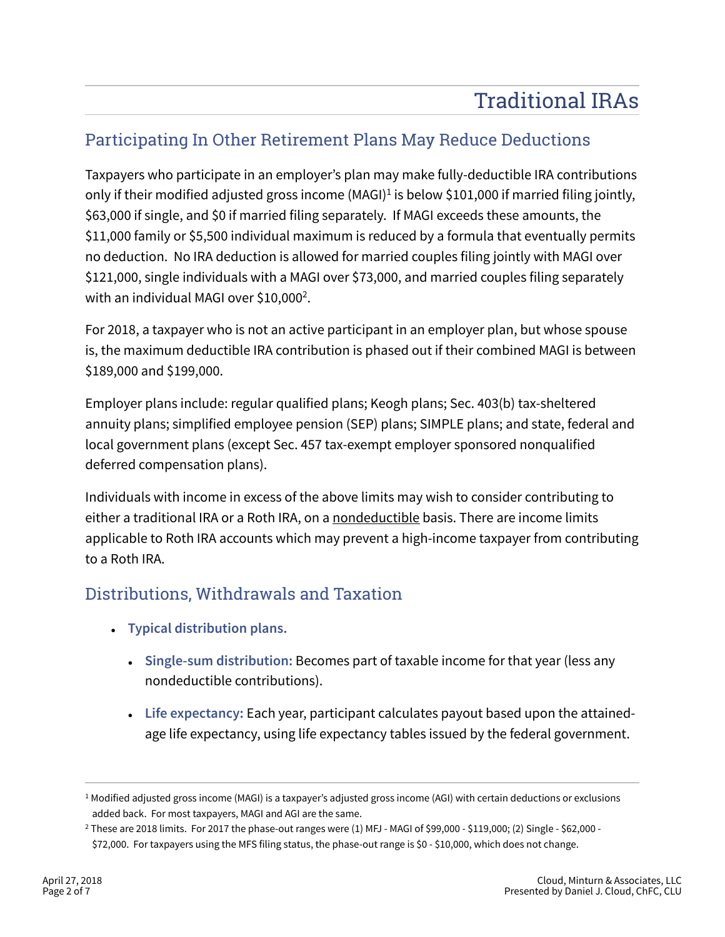#### Participating In Other Retirement Plans May Reduce Deductions

Taxpayers who participate in an employer's plan may make fully-deductible IRA contributions only if their modified adjusted gross income (MAGI)<sup>1</sup> is below \$101,000 if married filing jointly, \$63,000 if single, and \$0 if married filing separately. If MAGI exceeds these amounts, the \$11,000 family or \$5,500 individual maximum is reduced by a formula that eventually permits no deduction. No IRA deduction is allowed for married couples filing jointly with MAGI over \$121,000, single individuals with a MAGI over \$73,000, and married couples filing separately with an individual MAGI over \$10,000<sup>2</sup>.

For 2018, a taxpayer who is not an active participant in an employer plan, but whose spouse is, the maximum deductible IRA contribution is phased out if their combined MAGI is between \$189,000 and \$199,000.

Employer plans include: regular qualified plans; Keogh plans; Sec. 403(b) tax-sheltered annuity plans; simplified employee pension (SEP) plans; SIMPLE plans; and state, federal and local government plans (except Sec. 457 tax-exempt employer sponsored nonqualified deferred compensation plans).

Individuals with income in excess of the above limits may wish to consider contributing to either a traditional IRA or a Roth IRA, on a nondeductible basis. There are income limits applicable to Roth IRA accounts which may prevent a high-income taxpayer from contributing to a Roth IRA.

#### Distributions, Withdrawals and Taxation

- **Typical distribution plans.**
	- Single-sum distribution: Becomes part of taxable income for that year (less any nondeductible contributions).
	- Life expectancy: Each year, participant calculates payout based upon the attainedage life expectancy, using life expectancy tables issued by the federal government.

<sup>1</sup> Modified adjusted gross income (MAGI) is a taxpayer's adjusted gross income (AGI) with certain deductions or exclusions added back. For most taxpayers, MAGI and AGI are the same.

<sup>&</sup>lt;sup>2</sup> These are 2018 limits. For 2017 the phase-out ranges were (1) MFJ - MAGI of \$99,000 - \$119,000; (2) Single - \$62,000 -\$72,000. For taxpayers using the MFS filing status, the phase-out range is \$0 - \$10,000, which does not change.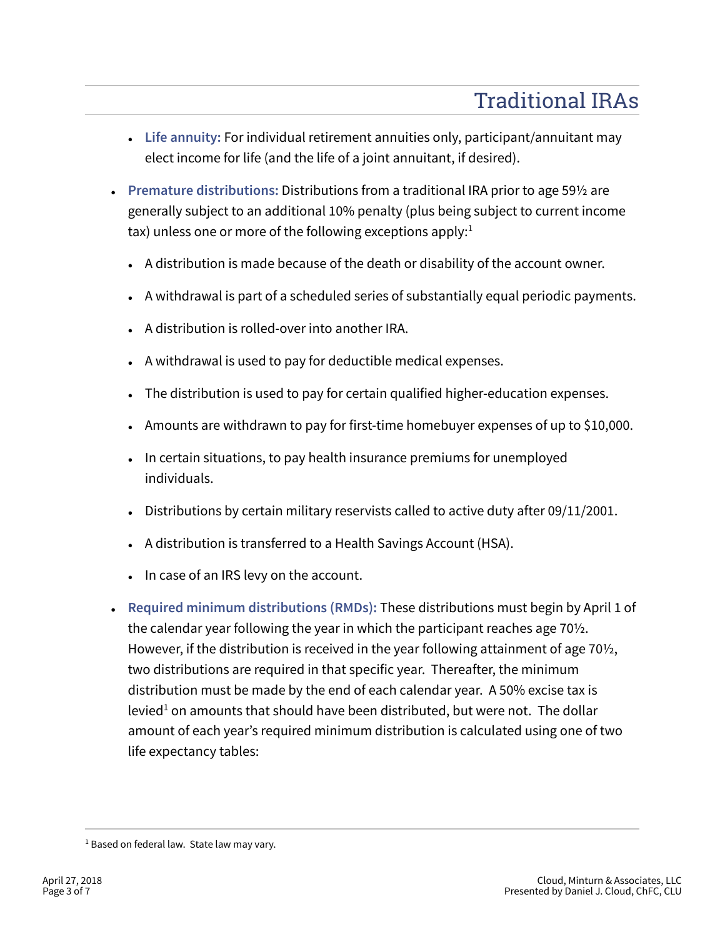- Life annuity: For individual retirement annuities only, participant/annuitant may elect income for life (and the life of a joint annuitant, if desired).
- **Premature distributions:** Distributions from a traditional IRA prior to age 59½ are generally subject to an additional 10% penalty (plus being subject to current income tax) unless one or more of the following exceptions apply: $1$ 
	- A distribution is made because of the death or disability of the account owner.
	- $\bullet$  A withdrawal is part of a scheduled series of substantially equal periodic payments.
	- $\bullet$  A distribution is rolled-over into another IRA.
	- A withdrawal is used to pay for deductible medical expenses.
	- The distribution is used to pay for certain qualified higher-education expenses.
	- $\bullet$  Amounts are withdrawn to pay for first-time homebuyer expenses of up to \$10,000.
	- In certain situations, to pay health insurance premiums for unemployed individuals.
	- $\bullet$  Distributions by certain military reservists called to active duty after 09/11/2001.
	- A distribution is transferred to a Health Savings Account (HSA).
	- In case of an IRS levy on the account.
- **Required minimum distributions (RMDs):** These distributions must begin by April 1 of the calendar year following the year in which the participant reaches age 70½. However, if the distribution is received in the year following attainment of age 70½, two distributions are required in that specific year. Thereafter, the minimum distribution must be made by the end of each calendar year. A 50% excise tax is levied<sup>1</sup> on amounts that should have been distributed, but were not. The dollar amount of each year's required minimum distribution is calculated using one of two life expectancy tables:

<sup>1</sup> Based on federal law. State law may vary.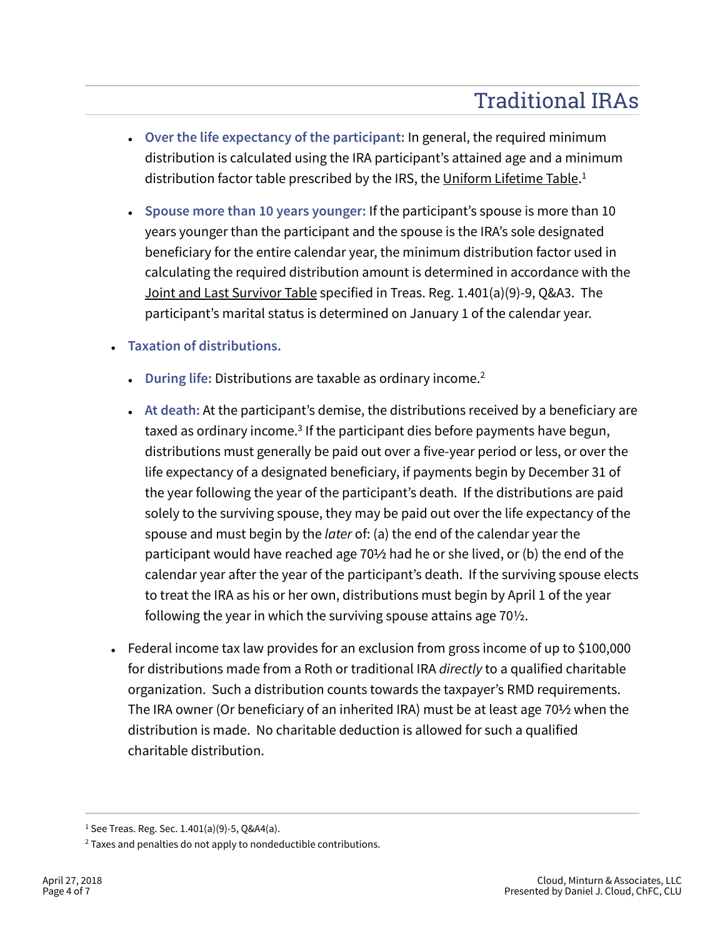- **Over the life expectancy of the participant:** In general, the required minimum distribution is calculated using the IRA participant's attained age and a minimum distribution factor table prescribed by the IRS, the Uniform Lifetime Table.<sup>1</sup>
- **Spouse more than 10 years younger:** If the participant's spouse is more than 10 years younger than the participant and the spouse is the IRA's sole designated beneficiary for the entire calendar year, the minimum distribution factor used in calculating the required distribution amount is determined in accordance with the Joint and Last Survivor Table specified in Treas. Reg. 1.401(a)(9)-9, Q&A3. The participant's marital status is determined on January 1 of the calendar year.
- **Taxation of distributions.**
	- During life: Distributions are taxable as ordinary income.<sup>2</sup>
	- At death: At the participant's demise, the distributions received by a beneficiary are taxed as ordinary income.<sup>3</sup> If the participant dies before payments have begun, distributions must generally be paid out over a five-year period or less, or over the life expectancy of a designated beneficiary, if payments begin by December 31 of the year following the year of the participant's death. If the distributions are paid solely to the surviving spouse, they may be paid out over the life expectancy of the spouse and must begin by the *later* of: (a) the end of the calendar year the participant would have reached age 70½ had he or she lived, or (b) the end of the calendar year after the year of the participant's death. If the surviving spouse elects to treat the IRA as his or her own, distributions must begin by April 1 of the year following the year in which the surviving spouse attains age 70½.
- $\bullet$  Federal income tax law provides for an exclusion from gross income of up to \$100,000 for distributions made from a Roth or traditional IRA *directly* to a qualified charitable organization. Such a distribution counts towards the taxpayer's RMD requirements. The IRA owner (Or beneficiary of an inherited IRA) must be at least age 70½ when the distribution is made. No charitable deduction is allowed for such a qualified charitable distribution.

<sup>1</sup> See Treas. Reg. Sec. 1.401(a)(9)-5, Q&A4(a).

<sup>2</sup> Taxes and penalties do not apply to nondeductible contributions.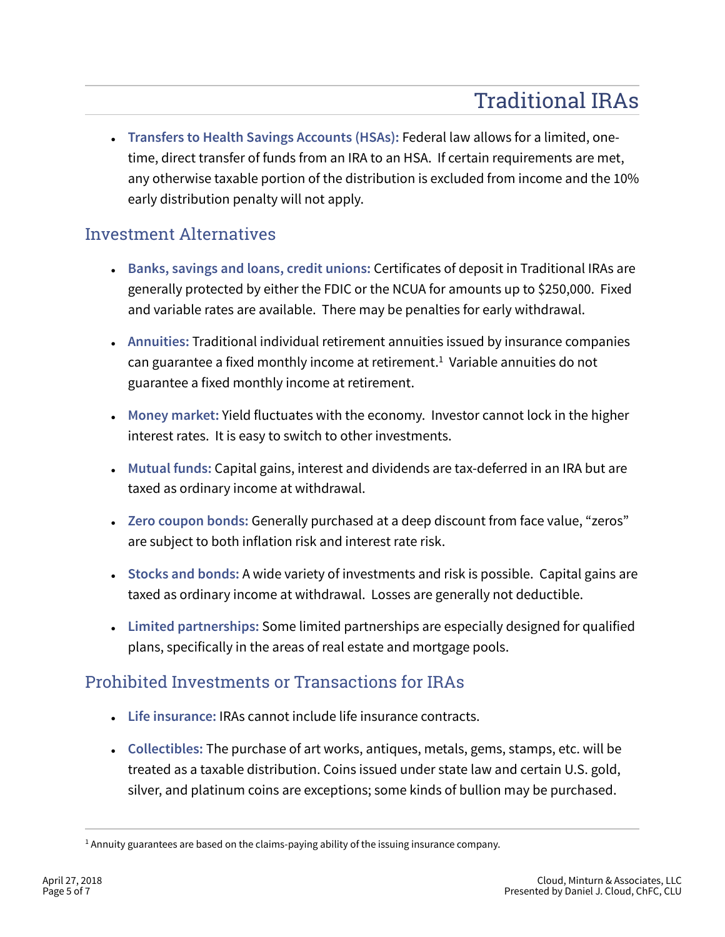● **Transfers to Health Savings Accounts (HSAs):** Federal law allows for a limited, onetime, direct transfer of funds from an IRA to an HSA. If certain requirements are met, any otherwise taxable portion of the distribution is excluded from income and the 10% early distribution penalty will not apply.

#### Investment Alternatives

- **Banks, savings and loans, credit unions:** Certificates of deposit in Traditional IRAs are generally protected by either the FDIC or the NCUA for amounts up to \$250,000. Fixed and variable rates are available. There may be penalties for early withdrawal.
- **Annuities:** Traditional individual retirement annuities issued by insurance companies can guarantee a fixed monthly income at retirement. $^1$  Variable annuities do not guarantee a fixed monthly income at retirement.
- Money market: Yield fluctuates with the economy. Investor cannot lock in the higher interest rates. It is easy to switch to other investments.
- **Mutual funds:** Capital gains, interest and dividends are tax-deferred in an IRA but are taxed as ordinary income at withdrawal.
- **Zero coupon bonds:** Generally purchased at a deep discount from face value, "zeros" are subject to both inflation risk and interest rate risk.
- **Stocks and bonds:** A wide variety of investments and risk is possible. Capital gains are taxed as ordinary income at withdrawal. Losses are generally not deductible.
- **Limited partnerships:** Some limited partnerships are especially designed for qualified plans, specifically in the areas of real estate and mortgage pools.

#### Prohibited Investments or Transactions for IRAs

- Life insurance: IRAs cannot include life insurance contracts.
- **Collectibles:** The purchase of art works, antiques, metals, gems, stamps, etc. will be treated as a taxable distribution. Coins issued under state law and certain U.S. gold, silver, and platinum coins are exceptions; some kinds of bullion may be purchased.

<sup>1</sup> Annuity guarantees are based on the claims-paying ability of the issuing insurance company.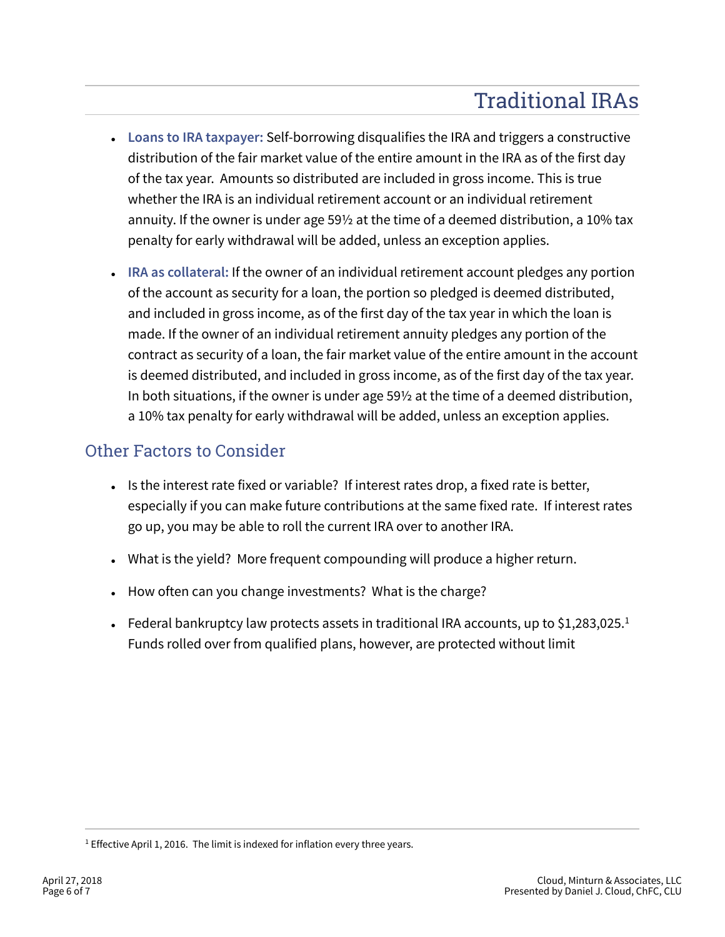- **Loans to IRA taxpayer:** Self-borrowing disqualifies the IRA and triggers a constructive distribution of the fair market value of the entire amount in the IRA as of the first day of the tax year. Amounts so distributed are included in gross income. This is true whether the IRA is an individual retirement account or an individual retirement annuity. If the owner is under age 59½ at the time of a deemed distribution, a 10% tax penalty for early withdrawal will be added, unless an exception applies.
- **IRA as collateral:** If the owner of an individual retirement account pledges any portion of the account as security for a loan, the portion so pledged is deemed distributed, and included in gross income, as of the first day of the tax year in which the loan is made. If the owner of an individual retirement annuity pledges any portion of the contract as security of a loan, the fair market value of the entire amount in the account is deemed distributed, and included in gross income, as of the first day of the tax year. In both situations, if the owner is under age 59½ at the time of a deemed distribution, a 10% tax penalty for early withdrawal will be added, unless an exception applies.

#### Other Factors to Consider

- Is the interest rate fixed or variable? If interest rates drop, a fixed rate is better, especially if you can make future contributions at the same fixed rate. If interest rates go up, you may be able to roll the current IRA over to another IRA.
- What is the yield? More frequent compounding will produce a higher return.
- How often can you change investments? What is the charge?
- Federal bankruptcy law protects assets in traditional IRA accounts, up to \$1,283,025.<sup>1</sup> Funds rolled over from qualified plans, however, are protected without limit

<sup>&</sup>lt;sup>1</sup> Effective April 1, 2016. The limit is indexed for inflation every three years.